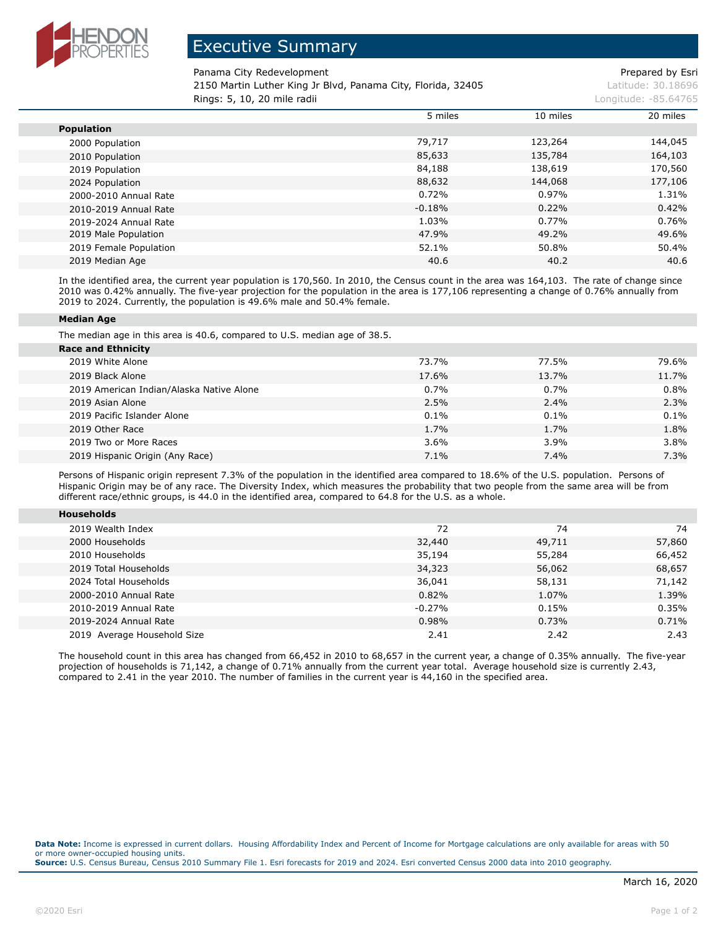

## Executive Summary

Panama City Redevelopment **Prepared by Esri** Prepared by Esri

2150 Martin Luther King Jr Blvd, Panama City, Florida, 32405 Latitude: 30.18696 **Rings: 5, 10, 20 mile radii Longitude: -85.64765 Longitude: -85.64765 Longitude: -85.64765** 

|                        | 5 miles  | 10 miles | 20 miles |
|------------------------|----------|----------|----------|
| <b>Population</b>      |          |          |          |
| 2000 Population        | 79,717   | 123,264  | 144,045  |
| 2010 Population        | 85,633   | 135,784  | 164,103  |
| 2019 Population        | 84,188   | 138,619  | 170,560  |
| 2024 Population        | 88,632   | 144,068  | 177,106  |
| 2000-2010 Annual Rate  | 0.72%    | 0.97%    | 1.31%    |
| 2010-2019 Annual Rate  | $-0.18%$ | 0.22%    | 0.42%    |
| 2019-2024 Annual Rate  | 1.03%    | 0.77%    | 0.76%    |
| 2019 Male Population   | 47.9%    | 49.2%    | 49.6%    |
| 2019 Female Population | 52.1%    | 50.8%    | 50.4%    |
| 2019 Median Age        | 40.6     | 40.2     | 40.6     |

In the identified area, the current year population is 170,560. In 2010, the Census count in the area was 164,103. The rate of change since 2010 was 0.42% annually. The five-year projection for the population in the area is 177,106 representing a change of 0.76% annually from 2019 to 2024. Currently, the population is 49.6% male and 50.4% female.

## **Median Age**

The median age in this area is 40.6, compared to U.S. median age of 38.5.

| <b>Race and Ethnicity</b>                |       |         |       |
|------------------------------------------|-------|---------|-------|
| 2019 White Alone                         | 73.7% | 77.5%   | 79.6% |
| 2019 Black Alone                         | 17.6% | 13.7%   | 11.7% |
| 2019 American Indian/Alaska Native Alone | 0.7%  | $0.7\%$ | 0.8%  |
| 2019 Asian Alone                         | 2.5%  | 2.4%    | 2.3%  |
| 2019 Pacific Islander Alone              | 0.1%  | $0.1\%$ | 0.1%  |
| 2019 Other Race                          | 1.7%  | 1.7%    | 1.8%  |
| 2019 Two or More Races                   | 3.6%  | 3.9%    | 3.8%  |
| 2019 Hispanic Origin (Any Race)          | 7.1%  | 7.4%    | 7.3%  |

Persons of Hispanic origin represent 7.3% of the population in the identified area compared to 18.6% of the U.S. population. Persons of Hispanic Origin may be of any race. The Diversity Index, which measures the probability that two people from the same area will be from different race/ethnic groups, is 44.0 in the identified area, compared to 64.8 for the U.S. as a whole.

| <b>Households</b>           |          |        |        |
|-----------------------------|----------|--------|--------|
|                             |          |        |        |
| 2019 Wealth Index           | 72       | 74     | 74     |
| 2000 Households             | 32,440   | 49,711 | 57,860 |
| 2010 Households             | 35,194   | 55,284 | 66,452 |
| 2019 Total Households       | 34,323   | 56,062 | 68,657 |
| 2024 Total Households       | 36,041   | 58,131 | 71,142 |
| 2000-2010 Annual Rate       | 0.82%    | 1.07%  | 1.39%  |
| 2010-2019 Annual Rate       | $-0.27%$ | 0.15%  | 0.35%  |
| 2019-2024 Annual Rate       | 0.98%    | 0.73%  | 0.71%  |
| 2019 Average Household Size | 2.41     | 2.42   | 2.43   |

The household count in this area has changed from 66,452 in 2010 to 68,657 in the current year, a change of 0.35% annually. The five-year projection of households is 71,142, a change of 0.71% annually from the current year total. Average household size is currently 2.43, compared to 2.41 in the year 2010. The number of families in the current year is 44,160 in the specified area.

**Data Note:** Income is expressed in current dollars. Housing Affordability Index and Percent of Income for Mortgage calculations are only available for areas with 50 or more owner-occupied housing units. **Source:** U.S. Census Bureau, Census 2010 Summary File 1. Esri forecasts for 2019 and 2024. Esri converted Census 2000 data into 2010 geography.